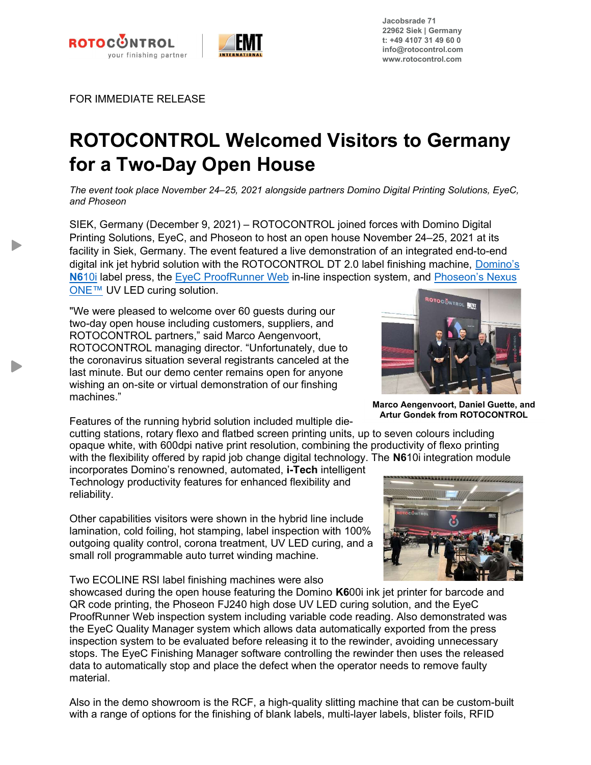



Jacobsrade 71 22962 Siek | Germany t: +49 4107 31 49 60 0 info@rotocontrol.com www.rotocontrol.com

FOR IMMEDIATE RELEASE

## ROTOCONTROL Welcomed Visitors to Germany for a Two-Day Open House

The event took place November 24–25, 2021 alongside partners Domino Digital Printing Solutions, EyeC, and Phoseon

SIEK, Germany (December 9, 2021) – ROTOCONTROL joined forces with Domino Digital Printing Solutions, EyeC, and Phoseon to host an open house November 24–25, 2021 at its facility in Siek, Germany. The event featured a live demonstration of an integrated end-to-end digital ink jet hybrid solution with the ROTOCONTROL DT 2.0 label finishing machine, Domino's N610i label press, the EyeC ProofRunner Web in-line inspection system, and Phoseon's Nexus ONE™ UV LED curing solution.

"We were pleased to welcome over 60 guests during our two-day open house including customers, suppliers, and ROTOCONTROL partners," said Marco Aengenvoort, ROTOCONTROL managing director. "Unfortunately, due to the coronavirus situation several registrants canceled at the last minute. But our demo center remains open for anyone wishing an on-site or virtual demonstration of our finshing machines."

Features of the running hybrid solution included multiple die-

cutting stations, rotary flexo and flatbed screen printing units, up to seven colours including opaque white, with 600dpi native print resolution, combining the productivity of flexo printing with the flexibility offered by rapid job change digital technology. The N610i integration module incorporates Domino's renowned, automated, i-Tech intelligent Technology productivity features for enhanced flexibility and

reliability.

Other capabilities visitors were shown in the hybrid line include lamination, cold foiling, hot stamping, label inspection with 100% outgoing quality control, corona treatment, UV LED curing, and a small roll programmable auto turret winding machine.

Two ECOLINE RSI label finishing machines were also

showcased during the open house featuring the Domino K600i ink jet printer for barcode and QR code printing, the Phoseon FJ240 high dose UV LED curing solution, and the EyeC ProofRunner Web inspection system including variable code reading. Also demonstrated was the EyeC Quality Manager system which allows data automatically exported from the press inspection system to be evaluated before releasing it to the rewinder, avoiding unnecessary stops. The EyeC Finishing Manager software controlling the rewinder then uses the released data to automatically stop and place the defect when the operator needs to remove faulty material.

Also in the demo showroom is the RCF, a high-quality slitting machine that can be custom-built with a range of options for the finishing of blank labels, multi-layer labels, blister foils, RFID



Marco Aengenvoort, Daniel Guette, and Artur Gondek from ROTOCONTROL